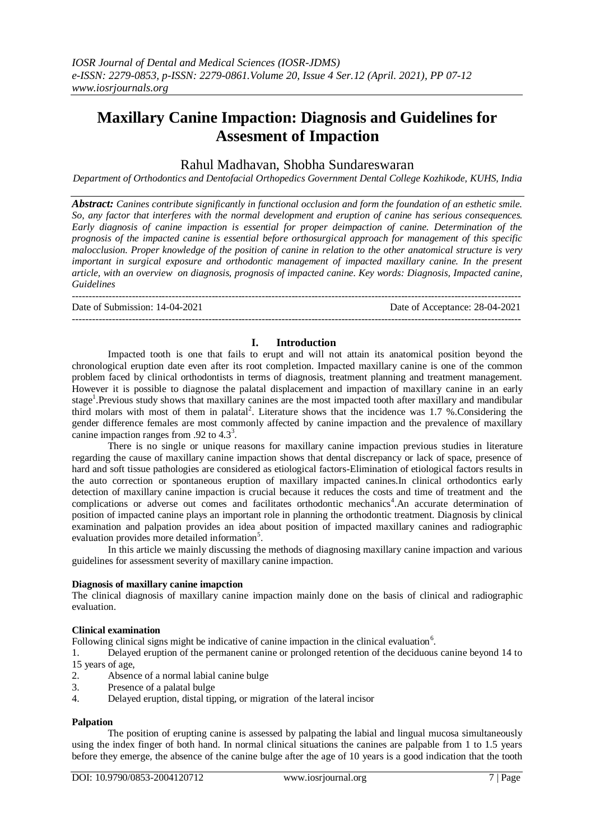# **Maxillary Canine Impaction: Diagnosis and Guidelines for Assesment of Impaction**

# Rahul Madhavan, Shobha Sundareswaran

*Department of Orthodontics and Dentofacial Orthopedics Government Dental College Kozhikode, KUHS, India*

*Abstract: Canines contribute significantly in functional occlusion and form the foundation of an esthetic smile. So, any factor that interferes with the normal development and eruption of canine has serious consequences. Early diagnosis of canine impaction is essential for proper deimpaction of canine. Determination of the prognosis of the impacted canine is essential before orthosurgical approach for management of this specific malocclusion. Proper knowledge of the position of canine in relation to the other anatomical structure is very important in surgical exposure and orthodontic management of impacted maxillary canine. In the present article, with an overview on diagnosis, prognosis of impacted canine. Key words: Diagnosis, Impacted canine, Guidelines*

Date of Submission: 14-04-2021 Date of Acceptance: 28-04-2021

### ---------------------------------------------------------------------------------------------------------------------------------------

# **I. Introduction**

---------------------------------------------------------------------------------------------------------------------------------------

Impacted tooth is one that fails to erupt and will not attain its anatomical position beyond the chronological eruption date even after its root completion. Impacted maxillary canine is one of the common problem faced by clinical orthodontists in terms of diagnosis, treatment planning and treatment management. However it is possible to diagnose the palatal displacement and impaction of maxillary canine in an early stage<sup>1</sup>. Previous study shows that maxillary canines are the most impacted tooth after maxillary and mandibular third molars with most of them in palatal<sup>2</sup>. Literature shows that the incidence was  $1.7$  %. Considering the gender difference females are most commonly affected by canine impaction and the prevalence of maxillary canine impaction ranges from .92 to  $4.3^3$ .

There is no single or unique reasons for maxillary canine impaction previous studies in literature regarding the cause of maxillary canine impaction shows that dental discrepancy or lack of space, presence of hard and soft tissue pathologies are considered as etiological factors-Elimination of etiological factors results in the auto correction or spontaneous eruption of maxillary impacted canines.In clinical orthodontics early detection of maxillary canine impaction is crucial because it reduces the costs and time of treatment and the complications or adverse out comes and facilitates orthodontic mechanics<sup>4</sup>. An accurate determination of position of impacted canine plays an important role in planning the orthodontic treatment. Diagnosis by clinical examination and palpation provides an idea about position of impacted maxillary canines and radiographic evaluation provides more detailed information<sup>5</sup>.

In this article we mainly discussing the methods of diagnosing maxillary canine impaction and various guidelines for assessment severity of maxillary canine impaction.

# **Diagnosis of maxillary canine imapction**

The clinical diagnosis of maxillary canine impaction mainly done on the basis of clinical and radiographic evaluation.

### **Clinical examination**

Following clinical signs might be indicative of canine impaction in the clinical evaluation $6$ .

1. Delayed eruption of the permanent canine or prolonged retention of the deciduous canine beyond 14 to 15 years of age,

- 2. Absence of a normal labial canine bulge
- 3. Presence of a palatal bulge<br>4 Delayed eruntion distal tin
- 4. Delayed eruption, distal tipping, or migration of the lateral incisor

### **Palpation**

The position of erupting canine is assessed by palpating the labial and lingual mucosa simultaneously using the index finger of both hand. In normal clinical situations the canines are palpable from 1 to 1.5 years before they emerge, the absence of the canine bulge after the age of 10 years is a good indication that the tooth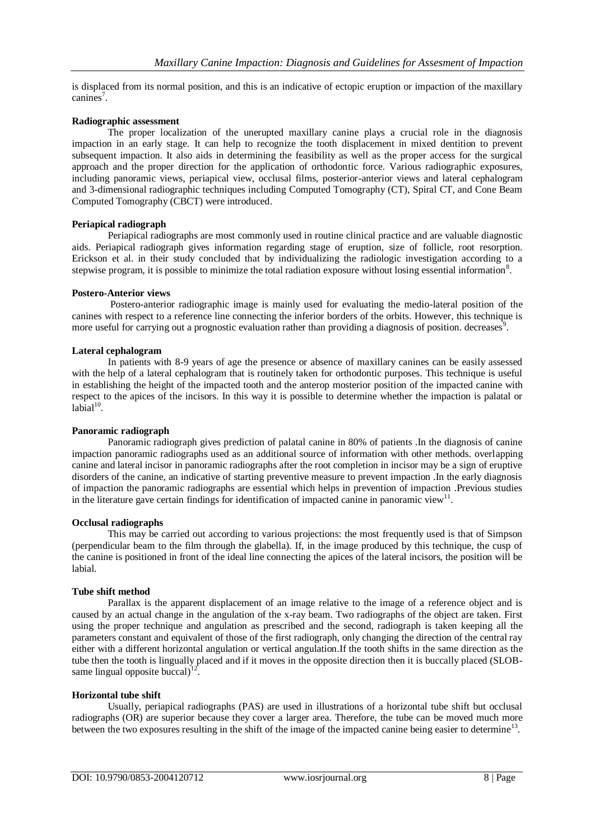is displaced from its normal position, and this is an indicative of ectopic eruption or impaction of the maxillary canines<sup>7</sup>.

# **Radiographic assessment**

The proper localization of the unerupted maxillary canine plays a crucial role in the diagnosis impaction in an early stage. It can help to recognize the tooth displacement in mixed dentition to prevent subsequent impaction. It also aids in determining the feasibility as well as the proper access for the surgical approach and the proper direction for the application of orthodontic force. Various radiographic exposures, including panoramic views, periapical view, occlusal films, posterior-anterior views and lateral cephalogram and 3-dimensional radiographic techniques including Computed Tomography (CT), Spiral CT, and Cone Beam Computed Tomography (CBCT) were introduced.

### **Periapical radiograph**

Periapical radiographs are most commonly used in routine clinical practice and are valuable diagnostic aids. Periapical radiograph gives information regarding stage of eruption, size of follicle, root resorption. Erickson et al. in their study concluded that by individualizing the radiologic investigation according to a stepwise program, it is possible to minimize the total radiation exposure without losing essential information<sup>8</sup>.

# **Postero-Anterior views**

Postero-anterior radiographic image is mainly used for evaluating the medio-lateral position of the canines with respect to a reference line connecting the inferior borders of the orbits. However, this technique is more useful for carrying out a prognostic evaluation rather than providing a diagnosis of position. decreases<sup>9</sup>.

# **Lateral cephalogram**

In patients with 8-9 years of age the presence or absence of maxillary canines can be easily assessed with the help of a lateral cephalogram that is routinely taken for orthodontic purposes. This technique is useful in establishing the height of the impacted tooth and the anterop mosterior position of the impacted canine with respect to the apices of the incisors. In this way it is possible to determine whether the impaction is palatal or  $labial<sup>10</sup>$ .

### **Panoramic radiograph**

Panoramic radiograph gives prediction of palatal canine in 80% of patients .In the diagnosis of canine impaction panoramic radiographs used as an additional source of information with other methods. overlapping canine and lateral incisor in panoramic radiographs after the root completion in incisor may be a sign of eruptive disorders of the canine, an indicative of starting preventive measure to prevent impaction .In the early diagnosis of impaction the panoramic radiographs are essential which helps in prevention of impaction .Previous studies in the literature gave certain findings for identification of impacted canine in panoramic view<sup>11</sup>.

### **Occlusal radiographs**

This may be carried out according to various projections: the most frequently used is that of Simpson (perpendicular beam to the film through the glabella). If, in the image produced by this technique, the cusp of the canine is positioned in front of the ideal line connecting the apices of the lateral incisors, the position will be labial.

# **Tube shift method**

Parallax is the apparent displacement of an image relative to the image of a reference object and is caused by an actual change in the angulation of the x-ray beam. Two radiographs of the object are taken. First using the proper technique and angulation as prescribed and the second, radiograph is taken keeping all the parameters constant and equivalent of those of the first radiograph, only changing the direction of the central ray either with a different horizontal angulation or vertical angulation.If the tooth shifts in the same direction as the tube then the tooth is lingually placed and if it moves in the opposite direction then it is buccally placed (SLOBsame lingual opposite buccal) $^{12}$ .

### **Horizontal tube shift**

Usually, periapical radiographs (PAS) are used in illustrations of a horizontal tube shift but occlusal radiographs (OR) are superior because they cover a larger area. Therefore, the tube can be moved much more between the two exposures resulting in the shift of the image of the impacted canine being easier to determine<sup>13</sup>.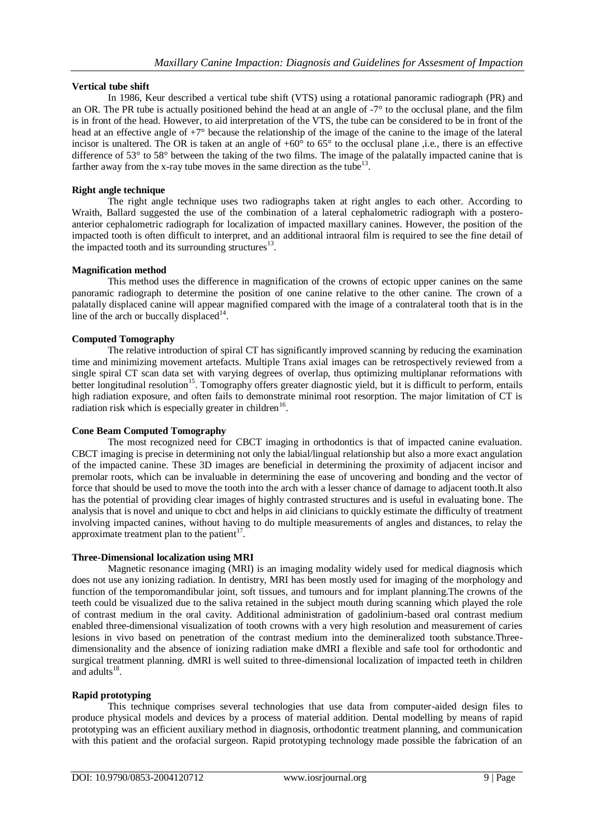# **Vertical tube shift**

In 1986, Keur described a vertical tube shift (VTS) using a rotational panoramic radiograph (PR) and an OR. The PR tube is actually positioned behind the head at an angle of -7° to the occlusal plane, and the film is in front of the head. However, to aid interpretation of the VTS, the tube can be considered to be in front of the head at an effective angle of +7° because the relationship of the image of the canine to the image of the lateral incisor is unaltered. The OR is taken at an angle of  $+60^{\circ}$  to  $65^{\circ}$  to the occlusal plane ,i.e., there is an effective difference of 53° to 58° between the taking of the two films. The image of the palatally impacted canine that is farther away from the x-ray tube moves in the same direction as the tube<sup>13</sup>.

# **Right angle technique**

The right angle technique uses two radiographs taken at right angles to each other. According to Wraith, Ballard suggested the use of the combination of a lateral cephalometric radiograph with a posteroanterior cephalometric radiograph for localization of impacted maxillary canines. However, the position of the impacted tooth is often difficult to interpret, and an additional intraoral film is required to see the fine detail of the impacted tooth and its surrounding structures $13$ .

# **Magnification method**

This method uses the difference in magnification of the crowns of ectopic upper canines on the same panoramic radiograph to determine the position of one canine relative to the other canine. The crown of a palatally displaced canine will appear magnified compared with the image of a contralateral tooth that is in the line of the arch or buccally displaced $14$ .

# **Computed Tomography**

The relative introduction of spiral CT has significantly improved scanning by reducing the examination time and minimizing movement artefacts. Multiple Trans axial images can be retrospectively reviewed from a single spiral CT scan data set with varying degrees of overlap, thus optimizing multiplanar reformations with better longitudinal resolution<sup>15</sup>. Tomography offers greater diagnostic yield, but it is difficult to perform, entails high radiation exposure, and often fails to demonstrate minimal root resorption. The major limitation of CT is radiation risk which is especially greater in children<sup>16</sup>.

### **Cone Beam Computed Tomography**

The most recognized need for CBCT imaging in orthodontics is that of impacted canine evaluation. CBCT imaging is precise in determining not only the labial/lingual relationship but also a more exact angulation of the impacted canine. These 3D images are beneficial in determining the proximity of adjacent incisor and premolar roots, which can be invaluable in determining the ease of uncovering and bonding and the vector of force that should be used to move the tooth into the arch with a lesser chance of damage to adjacent tooth.It also has the potential of providing clear images of highly contrasted structures and is useful in evaluating bone. The analysis that is novel and unique to cbct and helps in aid clinicians to quickly estimate the difficulty of treatment involving impacted canines, without having to do multiple measurements of angles and distances, to relay the approximate treatment plan to the patient $17$ .

### **Three-Dimensional localization using MRI**

Magnetic resonance imaging (MRI) is an imaging modality widely used for medical diagnosis which does not use any ionizing radiation. In dentistry, MRI has been mostly used for imaging of the morphology and function of the temporomandibular joint, soft tissues, and tumours and for implant planning.The crowns of the teeth could be visualized due to the saliva retained in the subject mouth during scanning which played the role of contrast medium in the oral cavity. Additional administration of gadolinium-based oral contrast medium enabled three-dimensional visualization of tooth crowns with a very high resolution and measurement of caries lesions in vivo based on penetration of the contrast medium into the demineralized tooth substance.Threedimensionality and the absence of ionizing radiation make dMRI a flexible and safe tool for orthodontic and surgical treatment planning. dMRI is well suited to three-dimensional localization of impacted teeth in children and adults $^{18}$ .

# **Rapid prototyping**

This technique comprises several technologies that use data from computer-aided design files to produce physical models and devices by a process of material addition. Dental modelling by means of rapid prototyping was an efficient auxiliary method in diagnosis, orthodontic treatment planning, and communication with this patient and the orofacial surgeon. Rapid prototyping technology made possible the fabrication of an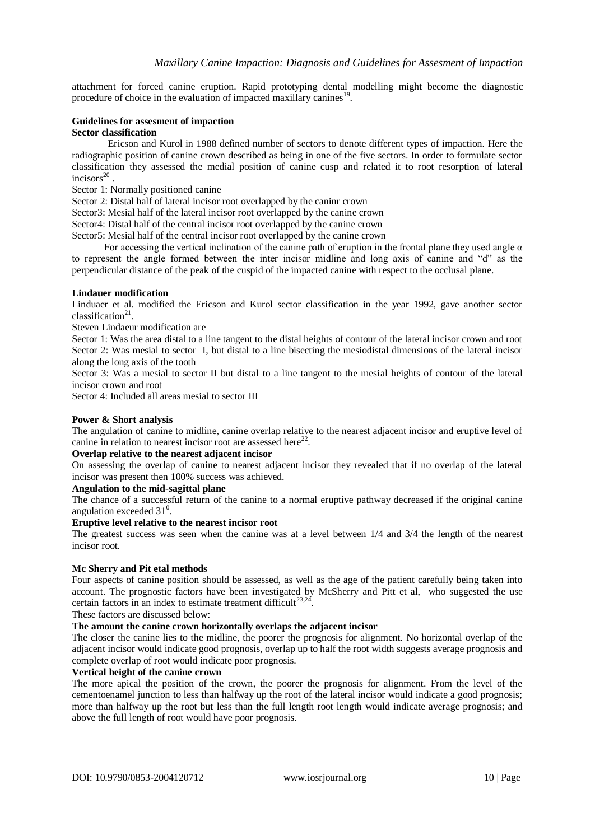attachment for forced canine eruption. Rapid prototyping dental modelling might become the diagnostic procedure of choice in the evaluation of impacted maxillary canines<sup>19</sup>.

# **Guidelines for assesment of impaction**

# **Sector classification**

Ericson and Kurol in 1988 defined number of sectors to denote different types of impaction. Here the radiographic position of canine crown described as being in one of the five sectors. In order to formulate sector classification they assessed the medial position of canine cusp and related it to root resorption of lateral incisors $^{20}$ .

Sector 1: Normally positioned canine

Sector 2: Distal half of lateral incisor root overlapped by the caninr crown

Sector3: Mesial half of the lateral incisor root overlapped by the canine crown

Sector4: Distal half of the central incisor root overlapped by the canine crown

Sector5: Mesial half of the central incisor root overlapped by the canine crown

For accessing the vertical inclination of the canine path of eruption in the frontal plane they used angle  $\alpha$ to represent the angle formed between the inter incisor midline and long axis of canine and "d" as the perpendicular distance of the peak of the cuspid of the impacted canine with respect to the occlusal plane.

### **Lindauer modification**

Linduaer et al. modified the Ericson and Kurol sector classification in the year 1992, gave another sector classification $21$ .

Steven Lindaeur modification are

Sector 1: Was the area distal to a line tangent to the distal heights of contour of the lateral incisor crown and root Sector 2: Was mesial to sector I, but distal to a line bisecting the mesiodistal dimensions of the lateral incisor along the long axis of the tooth

Sector 3: Was a mesial to sector II but distal to a line tangent to the mesial heights of contour of the lateral incisor crown and root

Sector 4: Included all areas mesial to sector III

#### **Power & Short analysis**

The angulation of canine to midline, canine overlap relative to the nearest adjacent incisor and eruptive level of canine in relation to nearest incisor root are assessed here $^{22}$ .

# **Overlap relative to the nearest adjacent incisor**

On assessing the overlap of canine to nearest adjacent incisor they revealed that if no overlap of the lateral incisor was present then 100% success was achieved.

# **Angulation to the mid-sagittal plane**

The chance of a successful return of the canine to a normal eruptive pathway decreased if the original canine angulation exceeded  $31^0$ .

#### **Eruptive level relative to the nearest incisor root**

The greatest success was seen when the canine was at a level between 1/4 and 3/4 the length of the nearest incisor root.

### **Mc Sherry and Pit etal methods**

Four aspects of canine position should be assessed, as well as the age of the patient carefully being taken into account. The prognostic factors have been investigated by McSherry and Pitt et al, who suggested the use certain factors in an index to estimate treatment difficult $2^{3,24}$ .

These factors are discussed below:

# **The amount the canine crown horizontally overlaps the adjacent incisor**

The closer the canine lies to the midline, the poorer the prognosis for alignment. No horizontal overlap of the adjacent incisor would indicate good prognosis, overlap up to half the root width suggests average prognosis and complete overlap of root would indicate poor prognosis.

# **Vertical height of the canine crown**

The more apical the position of the crown, the poorer the prognosis for alignment. From the level of the cementoenamel junction to less than halfway up the root of the lateral incisor would indicate a good prognosis; more than halfway up the root but less than the full length root length would indicate average prognosis; and above the full length of root would have poor prognosis.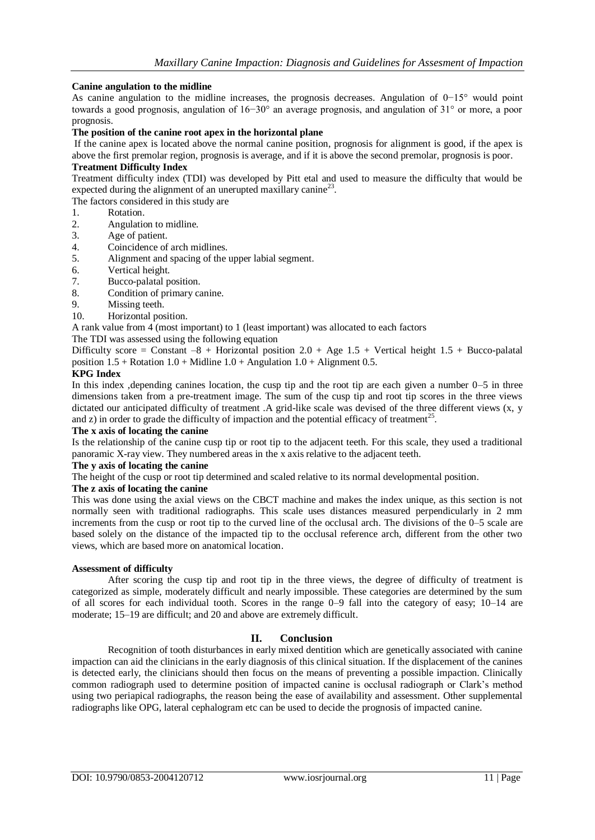# **Canine angulation to the midline**

As canine angulation to the midline increases, the prognosis decreases. Angulation of 0−15° would point towards a good prognosis, angulation of 16−30° an average prognosis, and angulation of 31° or more, a poor prognosis.

### **The position of the canine root apex in the horizontal plane**

If the canine apex is located above the normal canine position, prognosis for alignment is good, if the apex is above the first premolar region, prognosis is average, and if it is above the second premolar, prognosis is poor.

# **Treatment Difficulty Index**

Treatment difficulty index (TDI) was developed by Pitt etal and used to measure the difficulty that would be expected during the alignment of an unerupted maxillary canine<sup>23</sup>.

The factors considered in this study are

- 1. Rotation.
- 2. Angulation to midline.
- 3. Age of patient.
- 4. Coincidence of arch midlines.
- 5. Alignment and spacing of the upper labial segment.<br>6 Vertical height
- Vertical height.
- 7. Bucco-palatal position.
- 8. Condition of primary canine.
- 9. Missing teeth.
- 10. Horizontal position.

A rank value from 4 (most important) to 1 (least important) was allocated to each factors

The TDI was assessed using the following equation

Difficulty score = Constant  $-8$  + Horizontal position 2.0 + Age 1.5 + Vertical height 1.5 + Bucco-palatal position  $1.5 +$  Rotation  $1.0 +$  Midline  $1.0 +$  Angulation  $1.0 +$  Alignment 0.5.

### **KPG Index**

In this index ,depending canines location, the cusp tip and the root tip are each given a number 0–5 in three dimensions taken from a pre-treatment image. The sum of the cusp tip and root tip scores in the three views dictated our anticipated difficulty of treatment .A grid-like scale was devised of the three different views (x, y and z) in order to grade the difficulty of impaction and the potential efficacy of treatment<sup>25</sup>.

# **The x axis of locating the canine**

Is the relationship of the canine cusp tip or root tip to the adjacent teeth. For this scale, they used a traditional panoramic X-ray view. They numbered areas in the x axis relative to the adjacent teeth.

# **The y axis of locating the canine**

The height of the cusp or root tip determined and scaled relative to its normal developmental position.

### **The z axis of locating the canine**

This was done using the axial views on the CBCT machine and makes the index unique, as this section is not normally seen with traditional radiographs. This scale uses distances measured perpendicularly in 2 mm increments from the cusp or root tip to the curved line of the occlusal arch. The divisions of the 0–5 scale are based solely on the distance of the impacted tip to the occlusal reference arch, different from the other two views, which are based more on anatomical location.

### **Assessment of difficulty**

After scoring the cusp tip and root tip in the three views, the degree of difficulty of treatment is categorized as simple, moderately difficult and nearly impossible. These categories are determined by the sum of all scores for each individual tooth. Scores in the range 0–9 fall into the category of easy; 10–14 are moderate; 15–19 are difficult; and 20 and above are extremely difficult.

# **II. Conclusion**

Recognition of tooth disturbances in early mixed dentition which are genetically associated with canine impaction can aid the clinicians in the early diagnosis of this clinical situation. If the displacement of the canines is detected early, the clinicians should then focus on the means of preventing a possible impaction. Clinically common radiograph used to determine position of impacted canine is occlusal radiograph or Clark's method using two periapical radiographs, the reason being the ease of availability and assessment. Other supplemental radiographs like OPG, lateral cephalogram etc can be used to decide the prognosis of impacted canine.